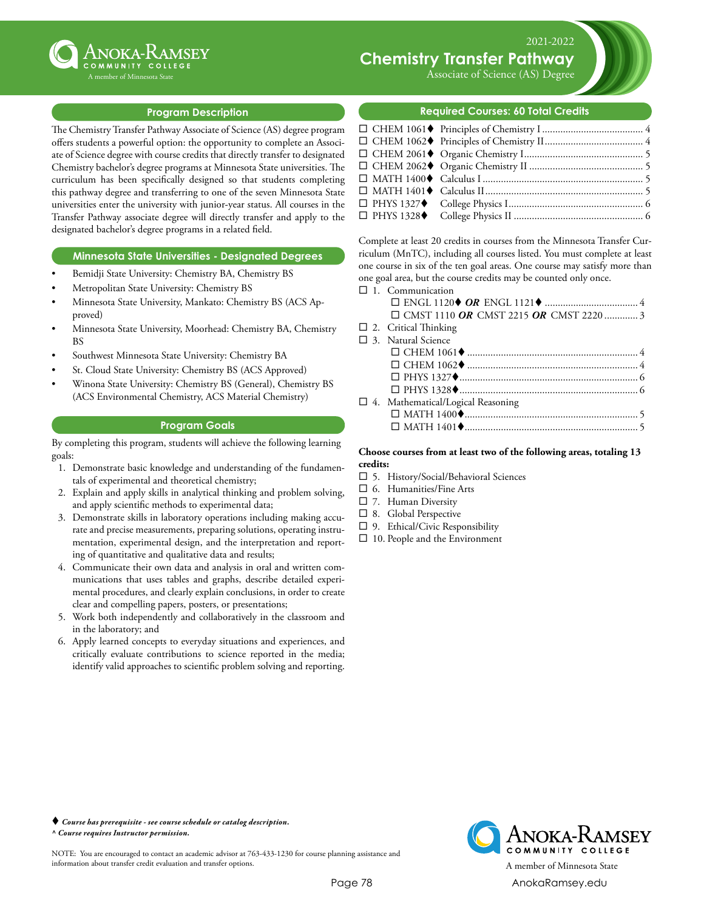

# **Chemistry Transfer Pathway**

Associate of Science (AS) Degree

2021-2022

### **Program Description**

The Chemistry Transfer Pathway Associate of Science (AS) degree program offers students a powerful option: the opportunity to complete an Associate of Science degree with course credits that directly transfer to designated Chemistry bachelor's degree programs at Minnesota State universities. The curriculum has been specifically designed so that students completing this pathway degree and transferring to one of the seven Minnesota State universities enter the university with junior-year status. All courses in the Transfer Pathway associate degree will directly transfer and apply to the designated bachelor's degree programs in a related field.

#### **Minnesota State Universities - Designated Degrees**

- Bemidji State University: Chemistry BA, Chemistry BS
- Metropolitan State University: Chemistry BS
- Minnesota State University, Mankato: Chemistry BS (ACS Approved)
- Minnesota State University, Moorhead: Chemistry BA, Chemistry BS
- Southwest Minnesota State University: Chemistry BA
- St. Cloud State University: Chemistry BS (ACS Approved)
- Winona State University: Chemistry BS (General), Chemistry BS (ACS Environmental Chemistry, ACS Material Chemistry)

#### **Program Goals**

By completing this program, students will achieve the following learning goals:

- 1. Demonstrate basic knowledge and understanding of the fundamentals of experimental and theoretical chemistry;
- 2. Explain and apply skills in analytical thinking and problem solving, and apply scientific methods to experimental data;
- 3. Demonstrate skills in laboratory operations including making accurate and precise measurements, preparing solutions, operating instrumentation, experimental design, and the interpretation and reporting of quantitative and qualitative data and results;
- 4. Communicate their own data and analysis in oral and written communications that uses tables and graphs, describe detailed experimental procedures, and clearly explain conclusions, in order to create clear and compelling papers, posters, or presentations;
- 5. Work both independently and collaboratively in the classroom and in the laboratory; and
- 6. Apply learned concepts to everyday situations and experiences, and critically evaluate contributions to science reported in the media; identify valid approaches to scientific problem solving and reporting.

#### **Required Courses: 60 Total Credits**

Complete at least 20 credits in courses from the Minnesota Transfer Curriculum (MnTC), including all courses listed. You must complete at least one course in six of the ten goal areas. One course may satisfy more than one goal area, but the course credits may be counted only once.

| $\Box$ 1. Communication                       |
|-----------------------------------------------|
|                                               |
| $\Box$ CMST 1110 OR CMST 2215 OR CMST 2220  3 |
| $\Box$ 2. Critical Thinking                   |
| $\Box$ 3. Natural Science                     |
|                                               |
|                                               |
|                                               |
|                                               |
| □ 4. Mathematical/Logical Reasoning           |
|                                               |
|                                               |
|                                               |

#### **Choose courses from at least two of the following areas, totaling 13 credits:**

- $\square$  5. History/Social/Behavioral Sciences
- $\square$  6. Humanities/Fine Arts
- $\square$  7. Human Diversity
- $\square$  8. Global Perspective
- $\square$  9. Ethical/Civic Responsibility
- $\Box$  10. People and the Environment

 *Course has prerequisite - see course schedule or catalog description. ^ Course requires Instructor permission.*

NOTE: You are encouraged to contact an academic advisor at 763-433-1230 for course planning assistance and information about transfer credit evaluation and transfer options. A member of Minnesota State